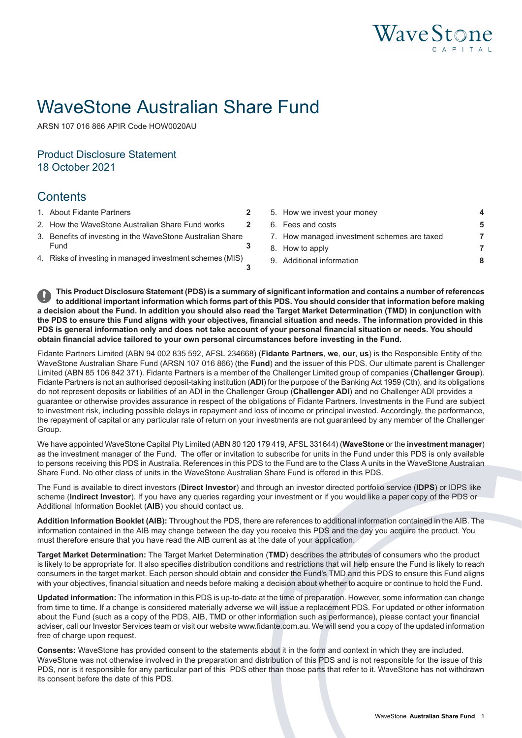

# WaveStone Australian Share Fund

ARSN 107 016 866 APIR Code HOW0020AU

# Product Disclosure Statement 18 October 2021

# **Contents**

- 
- 
- **[3](#page-2-0)** 3. Benefits of investing in the [WaveStone](#page-2-0) Australian Share
- **[3](#page-2-1)**

1. About Fidante [Partners](#page-1-0) **[2](#page-1-0)** 5. How we invest your [money](#page-3-0) **[4](#page-3-0)** 2. How the [WaveStone](#page-1-1) Australian Share Fund works **[2](#page-1-1)** 6. Fees and [costs](#page-4-0) **[5](#page-4-0)** 7. How managed [investment](#page-6-0) schemes are taxed **[7](#page-6-0)** [Fund](#page-2-0) **3** 8. How to [apply](#page-6-1) **8.** How to apply **[7](#page-6-1)** 4. Risks of investing in managed [investment](#page-2-1) schemes (MIS) 9. Additional [information](#page-7-0) **[8](#page-7-0)**

This Product Disclosure Statement (PDS) is a summary of significant information and contains a number of references to additional important information which forms part of this PDS. You should consider that information before making a decision about the Fund. In addition you should also read the Target Market Determination (TMD) in conjunction with the PDS to ensure this Fund aligns with your objectives, financial situation and needs. The information provided in this PDS is general information only and does not take account of your personal financial situation or needs. You should **obtain financial advice tailored to your own personal circumstances before investing in the Fund.**

Fidante Partners Limited (ABN 94 002 835 592, AFSL 234668) (**Fidante Partners**, **we**, **our**, **us**) is the Responsible Entity of the WaveStone Australian Share Fund (ARSN 107 016 866) (the **Fund**) and the issuer of this PDS. Our ultimate parent is Challenger Limited (ABN 85 106 842 371). Fidante Partners is a member of the Challenger Limited group of companies (**Challenger Group**). Fidante Partners is not an authorised deposit-taking institution (**ADI**) for the purpose of the Banking Act 1959 (Cth), and its obligations do not represent deposits or liabilities of an ADI in the Challenger Group (**Challenger ADI**) and no Challenger ADI provides a guarantee or otherwise provides assurance in respect of the obligations of Fidante Partners. Investments in the Fund are subject to investment risk, including possible delays in repayment and loss of income or principal invested. Accordingly, the performance, the repayment of capital or any particular rate of return on your investments are not guaranteed by any member of the Challenger Group.

We have appointed WaveStone Capital Pty Limited (ABN 80 120 179 419, AFSL 331644) (**WaveStone** or the **investment manager**) as the investment manager of the Fund. The offer or invitation to subscribe for units in the Fund under this PDS is only available to persons receiving this PDS in Australia. References in this PDS to the Fund are to the Class A units in the WaveStone Australian Share Fund. No other class of units in the WaveStone Australian Share Fund is offered in this PDS.

The Fund is available to direct investors (**Direct Investor**) and through an investor directed portfolio service (**IDPS**) or IDPS like scheme (**Indirect Investor**). If you have any queries regarding your investment or if you would like a paper copy of the PDS or Additional Information Booklet (**AIB**) you should contact us.

**Addition Information Booklet (AIB):** Throughout the PDS, there are references to additional information contained in the AIB. The information contained in the AIB may change between the day you receive this PDS and the day you acquire the product. You must therefore ensure that you have read the AIB current as at the date of your application.

**Target Market Determination:** The Target Market Determination (**TMD**) describes the attributes of consumers who the product is likely to be appropriate for. It also specifies distribution conditions and restrictions that will help ensure the Fund is likely to reach consumers in the target market. Each person should obtain and consider the Fund's TMD and this PDS to ensure this Fund aligns with your objectives, financial situation and needs before making a decision about whether to acquire or continue to hold the Fund.

**Updated information:** The information in this PDS is up-to-date at the time of preparation. However, some information can change from time to time. If a change is considered materially adverse we will issue a replacement PDS. For updated or other information about the Fund (such as a copy of the PDS, AIB, TMD or other information such as performance), please contact your financial adviser, call our Investor Services team or visit our website www.fidante.com.au. We will send you a copy of the updated information free of charge upon request.

**Consents:** WaveStone has provided consent to the statements about it in the form and context in which they are included. WaveStone was not otherwise involved in the preparation and distribution of this PDS and is not responsible for the issue of this PDS, nor is it responsible for any particular part of this PDS other than those parts that refer to it. WaveStone has not withdrawn its consent before the date of this PDS.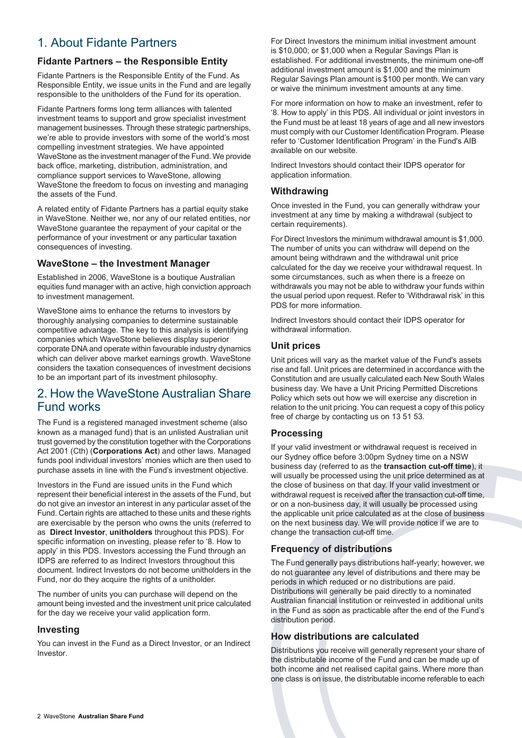# <span id="page-1-0"></span>1. About Fidante Partners

## **Fidante Partners – the Responsible Entity**

Fidante Partners is the Responsible Entity of the Fund. As Responsible Entity, we issue units in the Fund and are legally responsible to the unitholders of the Fund for its operation.

Fidante Partners forms long term alliances with talented investment teams to support and grow specialist investment management businesses. Through these strategic partnerships, we're able to provide investors with some of the world's most compelling investment strategies. We have appointed WaveStone as the investment manager of the Fund. We provide back office, marketing, distribution, administration, and compliance support services to WaveStone, allowing WaveStone the freedom to focus on investing and managing the assets of the Fund.

A related entity of Fidante Partners has a partial equity stake in WaveStone. Neither we, nor any of our related entities, nor WaveStone guarantee the repayment of your capital or the performance of your investment or any particular taxation consequences of investing.

### **WaveStone – the Investment Manager**

Established in 2006, WaveStone is a boutique Australian equities fund manager with an active, high conviction approach to investment management.

WaveStone aims to enhance the returns to investors by thoroughly analysing companies to determine sustainable competitive advantage. The key to this analysis is identifying companies which WaveStone believes display superior corporate DNA and operate within favourable industry dynamics which can deliver above market earnings growth. WaveStone considers the taxation consequences of investment decisions to be an important part of its investment philosophy.

# <span id="page-1-1"></span>2. How the WaveStone Australian Share Fund works

The Fund is a registered managed investment scheme (also known as a managed fund) that is an unlisted Australian unit trust governed by the constitution together with the Corporations Act 2001 (Cth) (**Corporations Act**) and other laws. Managed funds pool individual investors' monies which are then used to purchase assets in line with the Fund's investment objective.

Investors in the Fund are issued units in the Fund which represent their beneficial interest in the assets of the Fund, but do not give an investor an interest in any particular asset of the Fund. Certain rights are attached to these units and these rights are exercisable by the person who owns the units (referred to as **Direct Investor**, **unitholders** throughout this PDS). For specific information on investing, please refer to '8. How to apply' in this PDS. Investors accessing the Fund through an IDPS are referred to as Indirect Investors throughout this document. Indirect Investors do not become unitholders in the Fund, nor do they acquire the rights of a unitholder.

The number of units you can purchase will depend on the amount being invested and the investment unit price calculated for the day we receive your valid application form.

### **Investing**

You can invest in the Fund as a Direct Investor, or an Indirect Investor.

For Direct Investors the minimum initial investment amount is \$10,000; or \$1,000 when a Regular Savings Plan is established. For additional investments, the minimum one-off additional investment amount is \$1,000 and the minimum Regular Savings Plan amount is \$100 per month. We can vary or waive the minimum investment amounts at any time.

For more information on how to make an investment, refer to '8. How to apply' in this PDS. All individual or joint investors in the Fund must be at least 18 years of age and all new investors must comply with our Customer Identification Program. Please refer to 'Customer Identification Program' in the Fund's AIB available on our website.

Indirect Investors should contact their IDPS operator for application information.

### **Withdrawing**

Once invested in the Fund, you can generally withdraw your investment at any time by making a withdrawal (subject to certain requirements).

For Direct Investors the minimum withdrawal amount is \$1,000. The number of units you can withdraw will depend on the amount being withdrawn and the withdrawal unit price calculated for the day we receive your withdrawal request. In some circumstances, such as when there is a freeze on withdrawals you may not be able to withdraw your funds within the usual period upon request. Refer to 'Withdrawal risk' in this PDS for more information.

Indirect Investors should contact their IDPS operator for withdrawal information.

### **Unit prices**

Unit prices will vary as the market value of the Fund's assets rise and fall. Unit prices are determined in accordance with the Constitution and are usually calculated each New South Wales business day. We have a Unit Pricing Permitted Discretions Policy which sets out how we will exercise any discretion in relation to the unit pricing. You can request a copy of this policy free of charge by contacting us on 13 51 53.

### **Processing**

If your valid investment or withdrawal request is received in our Sydney office before 3:00pm Sydney time on a NSW business day (referred to as the **transaction cut-off time**), it will usually be processed using the unit price determined as at the close of business on that day. If your valid investment or withdrawal request is received after the transaction cut-off time, or on a non-business day, it will usually be processed using the applicable unit price calculated as at the close of business on the next business day. We will provide notice if we are to change the transaction cut-off time.

## **Frequency of distributions**

The Fund generally pays distributions half-yearly; however, we do not guarantee any level of distributions and there may be periods in which reduced or no distributions are paid. Distributions will generally be paid directly to a nominated Australian financial institution or reinvested in additional units in the Fund as soon as practicable after the end of the Fund's distribution period.

## **How distributions are calculated**

Distributions you receive will generally represent your share of the distributable income of the Fund and can be made up of both income and net realised capital gains. Where more than one class is on issue, the distributable income referable to each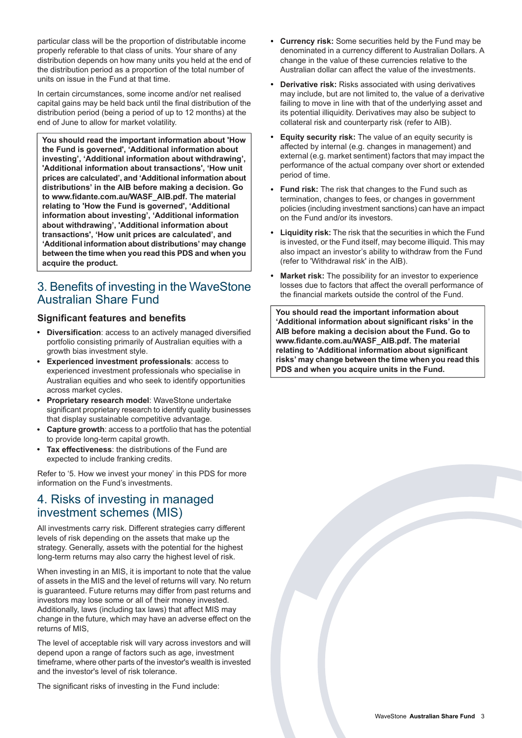particular class will be the proportion of distributable income properly referable to that class of units. Your share of any distribution depends on how many units you held at the end of the distribution period as a proportion of the total number of units on issue in the Fund at that time.

In certain circumstances, some income and/or net realised capital gains may be held back until the final distribution of the distribution period (being a period of up to 12 months) at the end of June to allow for market volatility.

**You should read the important information about 'How the Fund is governed', 'Additional information about investing', 'Additional information about withdrawing', 'Additional information about transactions', 'How unit prices are calculated', and 'Additional information about distributions' in the AIB before making a decision. Go to www.fidante.com.au/WASF\_AIB.pdf. The material relating to 'How the Fund is governed', 'Additional information about investing', 'Additional information about withdrawing', 'Additional information about transactions', 'How unit prices are calculated', and 'Additional information about distributions' may change between the time when you read this PDS and when you acquire the product.**

# <span id="page-2-0"></span>3. Benefits of investing in the WaveStone Australian Share Fund

### **Significant features and benefits**

- **Diversification**: access to an actively managed diversified portfolio consisting primarily of Australian equities with a growth bias investment style.
- **Experienced investment professionals**: access to experienced investment professionals who specialise in Australian equities and who seek to identify opportunities across market cycles.
- **Proprietary research model**: WaveStone undertake significant proprietary research to identify quality businesses that display sustainable competitive advantage.
- **Capture growth**: access to a portfolio that has the potential to provide long-term capital growth.
- <span id="page-2-1"></span>**Tax effectiveness**: the distributions of the Fund are expected to include franking credits.

Refer to '5. How we invest your money' in this PDS for more information on the Fund's investments.

# 4. Risks of investing in managed investment schemes (MIS)

All investments carry risk. Different strategies carry different levels of risk depending on the assets that make up the strategy. Generally, assets with the potential for the highest long-term returns may also carry the highest level of risk.

When investing in an MIS, it is important to note that the value of assets in the MIS and the level of returns will vary. No return is guaranteed. Future returns may differ from past returns and investors may lose some or all of their money invested. Additionally, laws (including tax laws) that affect MIS may change in the future, which may have an adverse effect on the returns of MIS,

The level of acceptable risk will vary across investors and will depend upon a range of factors such as age, investment timeframe, where other parts of the investor's wealth is invested and the investor's level of risk tolerance.

The significant risks of investing in the Fund include:

- **Currency risk:** Some securities held by the Fund may be denominated in a currency different to Australian Dollars. A change in the value of these currencies relative to the Australian dollar can affect the value of the investments.
- **Derivative risk:** Risks associated with using derivatives may include, but are not limited to, the value of a derivative failing to move in line with that of the underlying asset and its potential illiquidity. Derivatives may also be subject to collateral risk and counterparty risk (refer to AIB).
- **Equity security risk:** The value of an equity security is affected by internal (e.g. changes in management) and external (e.g. market sentiment) factors that may impact the performance of the actual company over short or extended period of time.
- **Fund risk:** The risk that changes to the Fund such as termination, changes to fees, or changes in government policies (including investment sanctions) can have an impact on the Fund and/or its investors.
- **Liquidity risk:** The risk that the securities in which the Fund is invested, or the Fund itself, may become illiquid. This may also impact an investor's ability to withdraw from the Fund (refer to 'Withdrawal risk' in the AIB).
- **Market risk:** The possibility for an investor to experience losses due to factors that affect the overall performance of the financial markets outside the control of the Fund.

**You should read the important information about 'Additional information about significant risks' in the AIB before making a decision about the Fund. Go to www.fidante.com.au/WASF\_AIB.pdf. The material relating to 'Additional information about significant risks' may change between the time when you read this PDS and when you acquire units in the Fund.**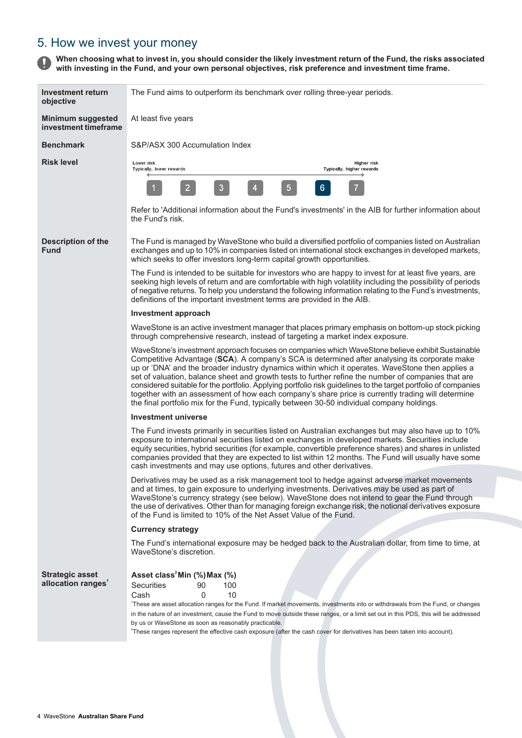# <span id="page-3-0"></span>5. How we invest your money

When choosing what to invest in, you should consider the likely investment return of the Fund, the risks associated  $\mathbf \Omega$ **with investing in the Fund, and your own personal objectives, risk preference and investment time frame.**

| Investment return<br>objective                           | The Fund aims to outperform its benchmark over rolling three-year periods.                                                                                                                                                                                                                                                                                                                                                                                                                                                                                                                                                                                                                                                        |  |
|----------------------------------------------------------|-----------------------------------------------------------------------------------------------------------------------------------------------------------------------------------------------------------------------------------------------------------------------------------------------------------------------------------------------------------------------------------------------------------------------------------------------------------------------------------------------------------------------------------------------------------------------------------------------------------------------------------------------------------------------------------------------------------------------------------|--|
| <b>Minimum suggested</b><br>investment timeframe         | At least five years                                                                                                                                                                                                                                                                                                                                                                                                                                                                                                                                                                                                                                                                                                               |  |
| <b>Benchmark</b>                                         | S&P/ASX 300 Accumulation Index                                                                                                                                                                                                                                                                                                                                                                                                                                                                                                                                                                                                                                                                                                    |  |
| <b>Risk level</b>                                        | Higher risk<br>Lower risk<br>Typically, higher rewards<br>Typically, lower rewards                                                                                                                                                                                                                                                                                                                                                                                                                                                                                                                                                                                                                                                |  |
|                                                          | $\overline{5}$<br>6 <sup>1</sup><br>$\overline{2}$<br>$\mathbf{3}$<br>4                                                                                                                                                                                                                                                                                                                                                                                                                                                                                                                                                                                                                                                           |  |
|                                                          | Refer to 'Additional information about the Fund's investments' in the AIB for further information about<br>the Fund's risk.                                                                                                                                                                                                                                                                                                                                                                                                                                                                                                                                                                                                       |  |
| <b>Description of the</b><br><b>Fund</b>                 | The Fund is managed by WaveStone who build a diversified portfolio of companies listed on Australian<br>exchanges and up to 10% in companies listed on international stock exchanges in developed markets,<br>which seeks to offer investors long-term capital growth opportunities.                                                                                                                                                                                                                                                                                                                                                                                                                                              |  |
|                                                          | The Fund is intended to be suitable for investors who are happy to invest for at least five years, are<br>seeking high levels of return and are comfortable with high volatility including the possibility of periods<br>of negative returns. To help you understand the following information relating to the Fund's investments,<br>definitions of the important investment terms are provided in the AIB.                                                                                                                                                                                                                                                                                                                      |  |
|                                                          | <b>Investment approach</b>                                                                                                                                                                                                                                                                                                                                                                                                                                                                                                                                                                                                                                                                                                        |  |
|                                                          | WaveStone is an active investment manager that places primary emphasis on bottom-up stock picking<br>through comprehensive research, instead of targeting a market index exposure.                                                                                                                                                                                                                                                                                                                                                                                                                                                                                                                                                |  |
|                                                          | WaveStone's investment approach focuses on companies which WaveStone believe exhibit Sustainable<br>Competitive Advantage (SCA). A company's SCA is determined after analysing its corporate make<br>up or 'DNA' and the broader industry dynamics within which it operates. WaveStone then applies a<br>set of valuation, balance sheet and growth tests to further refine the number of companies that are<br>considered suitable for the portfolio. Applying portfolio risk guidelines to the target portfolio of companies<br>together with an assessment of how each company's share price is currently trading will determine<br>the final portfolio mix for the Fund, typically between 30-50 individual company holdings. |  |
|                                                          | <b>Investment universe</b>                                                                                                                                                                                                                                                                                                                                                                                                                                                                                                                                                                                                                                                                                                        |  |
|                                                          | The Fund invests primarily in securities listed on Australian exchanges but may also have up to 10%<br>exposure to international securities listed on exchanges in developed markets. Securities include<br>equity securities, hybrid securities (for example, convertible preference shares) and shares in unlisted<br>companies provided that they are expected to list within 12 months. The Fund will usually have some<br>cash investments and may use options, futures and other derivatives.                                                                                                                                                                                                                               |  |
|                                                          | Derivatives may be used as a risk management tool to hedge against adverse market movements<br>and at times, to gain exposure to underlying investments. Derivatives may be used as part of<br>WaveStone's currency strategy (see below). WaveStone does not intend to gear the Fund through<br>the use of derivatives. Other than for managing foreign exchange risk, the notional derivatives exposure                                                                                                                                                                                                                                                                                                                          |  |
|                                                          | of the Fund is limited to 10% of the Net Asset Value of the Fund.                                                                                                                                                                                                                                                                                                                                                                                                                                                                                                                                                                                                                                                                 |  |
|                                                          | <b>Currency strategy</b>                                                                                                                                                                                                                                                                                                                                                                                                                                                                                                                                                                                                                                                                                                          |  |
|                                                          | The Fund's international exposure may be hedged back to the Australian dollar, from time to time, at<br>WaveStone's discretion.                                                                                                                                                                                                                                                                                                                                                                                                                                                                                                                                                                                                   |  |
| <b>Strategic asset</b><br>allocation ranges <sup>1</sup> | Asset class <sup>2</sup> Min (%) Max (%)<br><b>Securities</b><br>90<br>100<br>Cash<br>0<br>10<br>'These are asset allocation ranges for the Fund. If market movements, investments into or withdrawals from the Fund, or changes<br>in the nature of an investment, cause the Fund to move outside these ranges, or a limit set out in this PDS, this will be addressed<br>by us or WaveStone as soon as reasonably practicable.<br><sup>2</sup> These ranges represent the effective cash exposure (after the cash cover for derivatives has been taken into account).                                                                                                                                                           |  |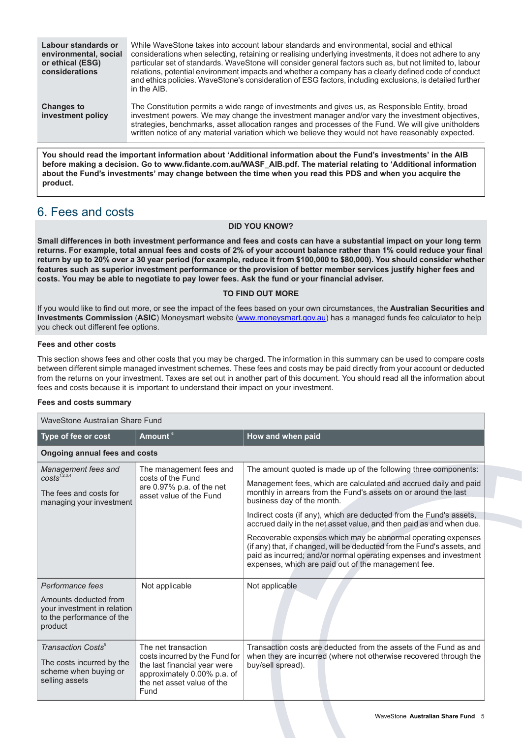| Labour standards or<br>environmental, social<br>or ethical (ESG)<br>considerations | While WaveStone takes into account labour standards and environmental, social and ethical<br>considerations when selecting, retaining or realising underlying investments, it does not adhere to any<br>particular set of standards. WaveStone will consider general factors such as, but not limited to, labour<br>relations, potential environment impacts and whether a company has a clearly defined code of conduct<br>and ethics policies. WaveStone's consideration of ESG factors, including exclusions, is detailed further<br>in the AIB. |
|------------------------------------------------------------------------------------|-----------------------------------------------------------------------------------------------------------------------------------------------------------------------------------------------------------------------------------------------------------------------------------------------------------------------------------------------------------------------------------------------------------------------------------------------------------------------------------------------------------------------------------------------------|
| <b>Changes to</b><br>investment policy                                             | The Constitution permits a wide range of investments and gives us, as Responsible Entity, broad<br>investment powers. We may change the investment manager and/or vary the investment objectives,<br>strategies, benchmarks, asset allocation ranges and processes of the Fund. We will give unitholders<br>written notice of any material variation which we believe they would not have reasonably expected.                                                                                                                                      |

**You should read the important information about 'Additional information about the Fund's investments' in the AIB before making a decision. Go to www.fidante.com.au/WASF\_AIB.pdf. The material relating to 'Additional information** about the Fund's investments' may change between the time when you read this PDS and when you acquire the **product.**

# <span id="page-4-0"></span>6. Fees and costs

#### **DID YOU KNOW?**

Small differences in both investment performance and fees and costs can have a substantial impact on your long term returns. For example, total annual fees and costs of 2% of your account balance rather than 1% could reduce your final return by up to 20% over a 30 year period (for example, reduce it from \$100,000 to \$80,000). You should consider whether features such as superior investment performance or the provision of better member services justify higher fees and **costs. You may be able to negotiate to pay lower fees. Ask the fund or your financial adviser.**

#### **TO FIND OUT MORE**

If you would like to find out more, or see the impact of the fees based on your own circumstances, the **Australian Securities and Investments Commission** (**ASIC**) Moneysmart website ([www.moneysmart.gov.au\)](http://www.moneysmart.gov.au) has a managed funds fee calculator to help you check out different fee options.

#### **Fees and other costs**

This section shows fees and other costs that you may be charged. The information in this summary can be used to compare costs between different simple managed investment schemes. These fees and costs may be paid directly from your account or deducted from the returns on your investment. Taxes are set out in another part of this document. You should read all the information about fees and costs because it is important to understand their impact on your investment.

#### **Fees and costs summary**

| WaveStone Australian Share Fund                                                                        |                                                                                                                                                            |                                                                                                                                                                                                                                                                      |                                                                                                                                                                   |  |
|--------------------------------------------------------------------------------------------------------|------------------------------------------------------------------------------------------------------------------------------------------------------------|----------------------------------------------------------------------------------------------------------------------------------------------------------------------------------------------------------------------------------------------------------------------|-------------------------------------------------------------------------------------------------------------------------------------------------------------------|--|
| Type of fee or cost                                                                                    | Amount <sup>6</sup>                                                                                                                                        | How and when paid                                                                                                                                                                                                                                                    |                                                                                                                                                                   |  |
| <b>Ongoing annual fees and costs</b>                                                                   |                                                                                                                                                            |                                                                                                                                                                                                                                                                      |                                                                                                                                                                   |  |
| Management fees and<br>$costs^{1,2,3,4}$                                                               | The management fees and<br>costs of the Fund                                                                                                               | The amount quoted is made up of the following three components:                                                                                                                                                                                                      |                                                                                                                                                                   |  |
| The fees and costs for<br>managing your investment                                                     | are 0.97% p.a. of the net<br>asset value of the Fund                                                                                                       |                                                                                                                                                                                                                                                                      | Management fees, which are calculated and accrued daily and paid<br>monthly in arrears from the Fund's assets on or around the last<br>business day of the month. |  |
|                                                                                                        |                                                                                                                                                            | Indirect costs (if any), which are deducted from the Fund's assets,                                                                                                                                                                                                  |                                                                                                                                                                   |  |
|                                                                                                        |                                                                                                                                                            | accrued daily in the net asset value, and then paid as and when due.                                                                                                                                                                                                 |                                                                                                                                                                   |  |
|                                                                                                        |                                                                                                                                                            | Recoverable expenses which may be abnormal operating expenses<br>(if any) that, if changed, will be deducted from the Fund's assets, and<br>paid as incurred; and/or normal operating expenses and investment<br>expenses, which are paid out of the management fee. |                                                                                                                                                                   |  |
| Performance fees                                                                                       | Not applicable                                                                                                                                             | Not applicable                                                                                                                                                                                                                                                       |                                                                                                                                                                   |  |
| Amounts deducted from<br>your investment in relation<br>to the performance of the<br>product           |                                                                                                                                                            |                                                                                                                                                                                                                                                                      |                                                                                                                                                                   |  |
| Transaction Costs <sup>5</sup><br>The costs incurred by the<br>scheme when buying or<br>selling assets | The net transaction<br>costs incurred by the Fund for<br>the last financial year were<br>approximately 0.00% p.a. of<br>the net asset value of the<br>Fund | Transaction costs are deducted from the assets of the Fund as and<br>when they are incurred (where not otherwise recovered through the<br>buy/sell spread).                                                                                                          |                                                                                                                                                                   |  |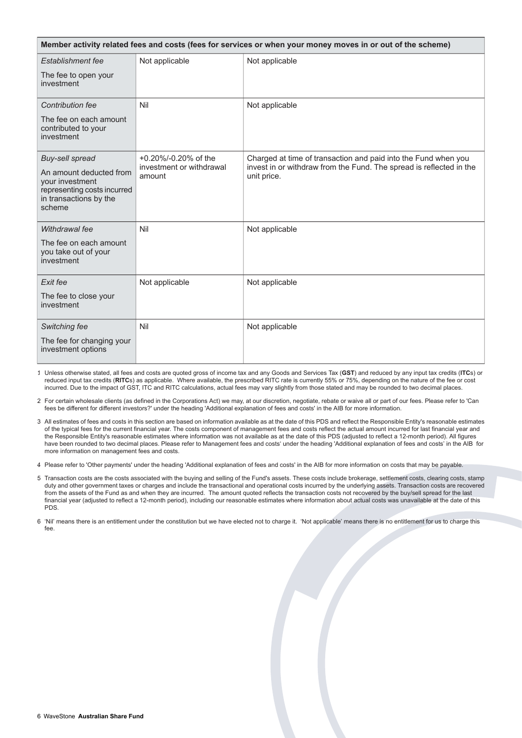| Member activity related fees and costs (fees for services or when your money moves in or out of the scheme)   |                                    |                                                                                    |  |
|---------------------------------------------------------------------------------------------------------------|------------------------------------|------------------------------------------------------------------------------------|--|
| Establishment fee                                                                                             | Not applicable                     | Not applicable                                                                     |  |
| The fee to open your<br>investment                                                                            |                                    |                                                                                    |  |
| <b>Contribution fee</b>                                                                                       | Nil                                | Not applicable                                                                     |  |
| The fee on each amount<br>contributed to your<br>investment                                                   |                                    |                                                                                    |  |
| <b>Buy-sell spread</b>                                                                                        | +0.20%/-0.20% of the               | Charged at time of transaction and paid into the Fund when you                     |  |
| An amount deducted from<br>your investment<br>representing costs incurred<br>in transactions by the<br>scheme | investment or withdrawal<br>amount | invest in or withdraw from the Fund. The spread is reflected in the<br>unit price. |  |
| Withdrawal fee                                                                                                | Nil                                | Not applicable                                                                     |  |
| The fee on each amount<br>you take out of your<br>investment                                                  |                                    |                                                                                    |  |
| Exit fee                                                                                                      | Not applicable                     | Not applicable                                                                     |  |
| The fee to close your<br>investment                                                                           |                                    |                                                                                    |  |
| Switching fee                                                                                                 | Nil                                | Not applicable                                                                     |  |
| The fee for changing your<br>investment options                                                               |                                    |                                                                                    |  |

1. Unless otherwise stated, all fees and costs are quoted gross of income tax and any Goods and Services Tax (**GST**) and reduced by any input tax credits (**ITC**s) or reduced input tax credits (**RITC**s) as applicable. Where available, the prescribed RITC rate is currently 55% or 75%, depending on the nature of the fee or cost incurred. Due to the impact of GST, ITC and RITC calculations, actual fees may vary slightly from those stated and may be rounded to two decimal places.

2. For certain wholesale clients (as defined in the Corporations Act) we may, at our discretion, negotiate, rebate or waive all or part of our fees. Please refer to 'Can fees be different for different investors?' under the heading 'Additional explanation of fees and costs' in the AIB for more information.

3. All estimates of fees and costs in this section are based on information available as at the date of this PDS and reflect the Responsible Entity's reasonable estimates of the typical fees for the current financial year. The costs component of management fees and costs reflect the actual amount incurred for last financial year and the Responsible Entity's reasonable estimates where information was not available as at the date of this PDS (adjusted to reflect a 12-month period). All figures have been rounded to two decimal places. Please refer to Management fees and costs' under the heading 'Additional explanation of fees and costs' in the AIB for more information on management fees and costs.

4. Please refer to 'Other payments' under the heading 'Additional explanation of fees and costs' in the AIB for more information on costs that may be payable.

- 5. Transaction costs are the costs associated with the buying and selling of the Fund's assets. These costs include brokerage, settlement costs, clearing costs, stamp duty and other government taxes or charges and include the transactional and operational costs incurred by the underlying assets. Transaction costs are recovered from the assets of the Fund as and when they are incurred. The amount quoted reflects the transaction costs not recovered by the buy/sell spread for the last financial year (adjusted to reflect a 12-month period), including our reasonable estimates where information about actual costs was unavailable at the date of this PDS.
- 6. 'Nil' means there is an entitlement under the constitution but we have elected not to charge it. 'Not applicable' means there is no entitlement for us to charge this fee.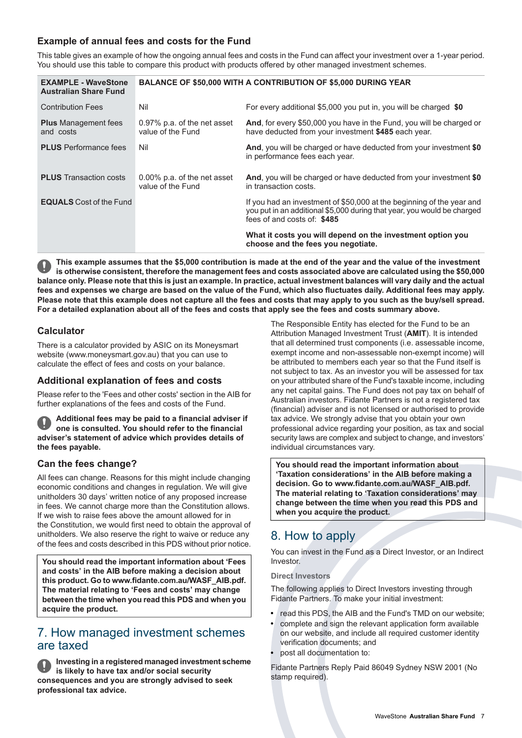# **Example of annual fees and costs for the Fund**

This table gives an example of how the ongoing annual fees and costs in the Fund can affect your investment over a 1-year period. You should use this table to compare this product with products offered by other managed investment schemes.

| <b>EXAMPLE - WaveStone</b><br><b>Australian Share Fund</b> | BALANCE OF \$50,000 WITH A CONTRIBUTION OF \$5,000 DURING YEAR |                                                                                                                                                                                 |
|------------------------------------------------------------|----------------------------------------------------------------|---------------------------------------------------------------------------------------------------------------------------------------------------------------------------------|
| <b>Contribution Fees</b>                                   | Nil                                                            | For every additional \$5,000 you put in, you will be charged \$0                                                                                                                |
| <b>Plus</b> Management fees<br>and costs                   | 0.97% p.a. of the net asset<br>value of the Fund               | And, for every \$50,000 you have in the Fund, you will be charged or<br>have deducted from your investment \$485 each year.                                                     |
| <b>PLUS</b> Performance fees                               | Nil                                                            | And, you will be charged or have deducted from your investment \$0<br>in performance fees each year.                                                                            |
| <b>PLUS</b> Transaction costs                              | 0.00% p.a. of the net asset<br>value of the Fund               | And, you will be charged or have deducted from your investment \$0<br>in transaction costs.                                                                                     |
| <b>EQUALS</b> Cost of the Fund                             |                                                                | If you had an investment of \$50,000 at the beginning of the year and<br>you put in an additional \$5,000 during that year, you would be charged<br>fees of and costs of: \$485 |
|                                                            |                                                                | What it costs you will depend on the investment option you<br>choose and the fees you negotiate.                                                                                |

This example assumes that the \$5,000 contribution is made at the end of the year and the value of the investment is otherwise consistent, therefore the management fees and costs associated above are calculated using the \$50,000 balance only. Please note that this is just an example. In practice, actual investment balances will vary daily and the actual fees and expenses we charge are based on the value of the Fund, which also fluctuates daily. Additional fees may apply. Please note that this example does not capture all the fees and costs that may apply to you such as the buy/sell spread. For a detailed explanation about all of the fees and costs that apply see the fees and costs summary above.

# **Calculator**

There is a calculator provided by ASIC on its Moneysmart website (www.moneysmart.gov.au) that you can use to calculate the effect of fees and costs on your balance.

### **Additional explanation of fees and costs**

Please refer to the 'Fees and other costs' section in the AIB for further explanations of the fees and costs of the Fund.

**Additional fees may be paid to a financial adviser if one is consulted. You should refer to the financial adviser's statement of advice which provides details of the fees payable.**

### **Can the fees change?**

All fees can change. Reasons for this might include changing economic conditions and changes in regulation. We will give unitholders 30 days' written notice of any proposed increase in fees. We cannot charge more than the Constitution allows. If we wish to raise fees above the amount allowed for in the Constitution, we would first need to obtain the approval of unitholders. We also reserve the right to waive or reduce any of the fees and costs described in this PDS without prior notice.

<span id="page-6-0"></span>**You should read the important information about 'Fees and costs' in the AIB before making a decision about this product. Go to www.fidante.com.au/WASF\_AIB.pdf. The material relating to 'Fees and costs' may change between the time when you read this PDS and when you acquire the product.**

# 7. How managed investment schemes are taxed

**Investing in a registered managed investment scheme is likely to have tax and/or social security consequences and you are strongly advised to seek professional tax advice.**

The Responsible Entity has elected for the Fund to be an Attribution Managed Investment Trust (**AMIT**). It is intended that all determined trust components (i.e. assessable income, exempt income and non-assessable non-exempt income) will be attributed to members each year so that the Fund itself is not subject to tax. As an investor you will be assessed for tax on your attributed share of the Fund's taxable income, including any net capital gains. The Fund does not pay tax on behalf of Australian investors. Fidante Partners is not a registered tax (financial) adviser and is not licensed or authorised to provide tax advice. We strongly advise that you obtain your own professional advice regarding your position, as tax and social security laws are complex and subject to change, and investors' individual circumstances vary.

<span id="page-6-1"></span>**You should read the important information about 'Taxation considerations' in the AIB before making a decision. Go to www.fidante.com.au/WASF\_AIB.pdf. The material relating to 'Taxation considerations' may change between the time when you read this PDS and when you acquire the product.**

# 8. How to apply

You can invest in the Fund as a Direct Investor, or an Indirect Investor.

#### **Direct Investors**

The following applies to Direct Investors investing through Fidante Partners. To make your initial investment:

- read this PDS, the AIB and the Fund's TMD on our website;
- complete and sign the relevant application form available on our website, and include all required customer identity verification documents; and
- post all documentation to:

Fidante Partners Reply Paid 86049 Sydney NSW 2001 (No stamp required).